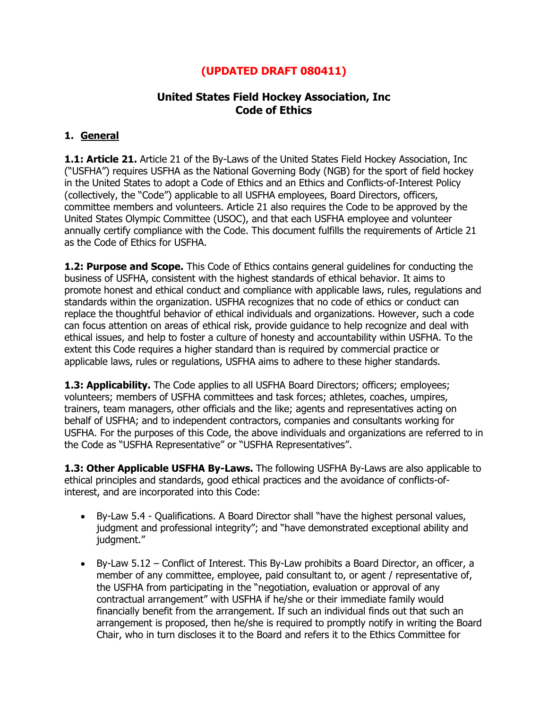# **(UPDATED DRAFT 080411)**

# **United States Field Hockey Association, Inc Code of Ethics**

### **1. General**

**1.1: Article 21.** Article 21 of the By-Laws of the United States Field Hockey Association, Inc ("USFHA") requires USFHA as the National Governing Body (NGB) for the sport of field hockey in the United States to adopt a Code of Ethics and an Ethics and Conflicts-of-Interest Policy (collectively, the "Code") applicable to all USFHA employees, Board Directors, officers, committee members and volunteers. Article 21 also requires the Code to be approved by the United States Olympic Committee (USOC), and that each USFHA employee and volunteer annually certify compliance with the Code. This document fulfills the requirements of Article 21 as the Code of Ethics for USFHA.

**1.2: Purpose and Scope.** This Code of Ethics contains general guidelines for conducting the business of USFHA, consistent with the highest standards of ethical behavior. It aims to promote honest and ethical conduct and compliance with applicable laws, rules, regulations and standards within the organization. USFHA recognizes that no code of ethics or conduct can replace the thoughtful behavior of ethical individuals and organizations. However, such a code can focus attention on areas of ethical risk, provide guidance to help recognize and deal with ethical issues, and help to foster a culture of honesty and accountability within USFHA. To the extent this Code requires a higher standard than is required by commercial practice or applicable laws, rules or regulations, USFHA aims to adhere to these higher standards.

**1.3: Applicability.** The Code applies to all USFHA Board Directors; officers; employees; volunteers; members of USFHA committees and task forces; athletes, coaches, umpires, trainers, team managers, other officials and the like; agents and representatives acting on behalf of USFHA; and to independent contractors, companies and consultants working for USFHA. For the purposes of this Code, the above individuals and organizations are referred to in the Code as "USFHA Representative" or "USFHA Representatives".

**1.3: Other Applicable USFHA By-Laws.** The following USFHA By-Laws are also applicable to ethical principles and standards, good ethical practices and the avoidance of conflicts-ofinterest, and are incorporated into this Code:

- By-Law 5.4 Qualifications. A Board Director shall "have the highest personal values, judgment and professional integrity"; and "have demonstrated exceptional ability and judgment."
- By-Law 5.12 Conflict of Interest. This By-Law prohibits a Board Director, an officer, a member of any committee, employee, paid consultant to, or agent / representative of, the USFHA from participating in the "negotiation, evaluation or approval of any contractual arrangement" with USFHA if he/she or their immediate family would financially benefit from the arrangement. If such an individual finds out that such an arrangement is proposed, then he/she is required to promptly notify in writing the Board Chair, who in turn discloses it to the Board and refers it to the Ethics Committee for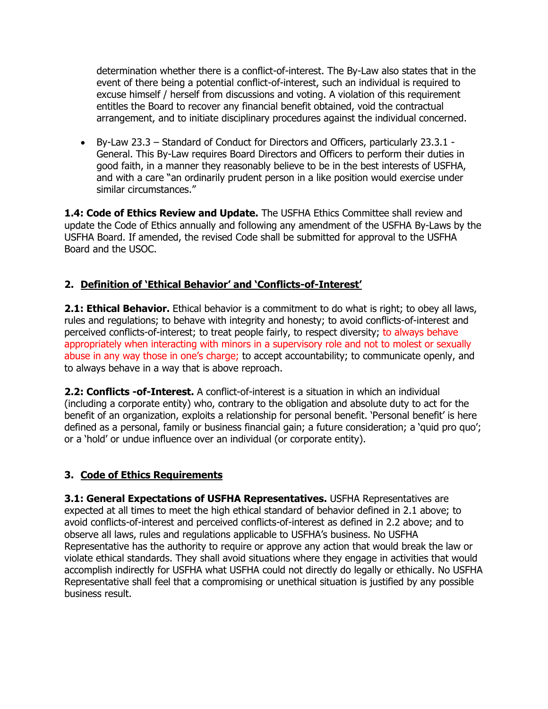determination whether there is a conflict-of-interest. The By-Law also states that in the event of there being a potential conflict-of-interest, such an individual is required to excuse himself / herself from discussions and voting. A violation of this requirement entitles the Board to recover any financial benefit obtained, void the contractual arrangement, and to initiate disciplinary procedures against the individual concerned.

 By-Law 23.3 – Standard of Conduct for Directors and Officers, particularly 23.3.1 - General. This By-Law requires Board Directors and Officers to perform their duties in good faith, in a manner they reasonably believe to be in the best interests of USFHA, and with a care "an ordinarily prudent person in a like position would exercise under similar circumstances."

**1.4: Code of Ethics Review and Update.** The USFHA Ethics Committee shall review and update the Code of Ethics annually and following any amendment of the USFHA By-Laws by the USFHA Board. If amended, the revised Code shall be submitted for approval to the USFHA Board and the USOC.

# **2. Definition of 'Ethical Behavior' and 'Conflicts-of-Interest'**

**2.1: Ethical Behavior.** Ethical behavior is a commitment to do what is right; to obey all laws, rules and regulations; to behave with integrity and honesty; to avoid conflicts-of-interest and perceived conflicts-of-interest; to treat people fairly, to respect diversity; to always behave appropriately when interacting with minors in a supervisory role and not to molest or sexually abuse in any way those in one's charge; to accept accountability; to communicate openly, and to always behave in a way that is above reproach.

**2.2: Conflicts -of-Interest.** A conflict-of-interest is a situation in which an individual (including a corporate entity) who, contrary to the obligation and absolute duty to act for the benefit of an organization, exploits a relationship for personal benefit. "Personal benefit" is here defined as a personal, family or business financial gain; a future consideration; a "quid pro quo"; or a "hold" or undue influence over an individual (or corporate entity).

### **3. Code of Ethics Requirements**

**3.1: General Expectations of USFHA Representatives.** USFHA Representatives are expected at all times to meet the high ethical standard of behavior defined in 2.1 above; to avoid conflicts-of-interest and perceived conflicts-of-interest as defined in 2.2 above; and to observe all laws, rules and regulations applicable to USFHA"s business. No USFHA Representative has the authority to require or approve any action that would break the law or violate ethical standards. They shall avoid situations where they engage in activities that would accomplish indirectly for USFHA what USFHA could not directly do legally or ethically. No USFHA Representative shall feel that a compromising or unethical situation is justified by any possible business result.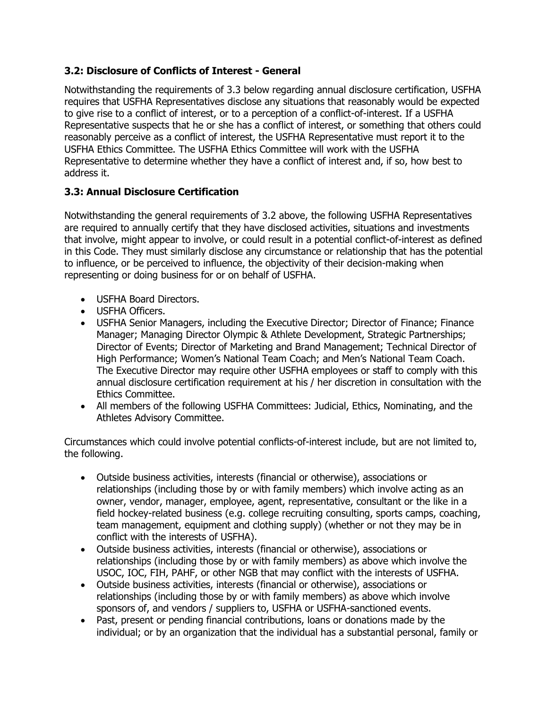## **3.2: Disclosure of Conflicts of Interest - General**

Notwithstanding the requirements of 3.3 below regarding annual disclosure certification, USFHA requires that USFHA Representatives disclose any situations that reasonably would be expected to give rise to a conflict of interest, or to a perception of a conflict-of-interest. If a USFHA Representative suspects that he or she has a conflict of interest, or something that others could reasonably perceive as a conflict of interest, the USFHA Representative must report it to the USFHA Ethics Committee. The USFHA Ethics Committee will work with the USFHA Representative to determine whether they have a conflict of interest and, if so, how best to address it.

## **3.3: Annual Disclosure Certification**

Notwithstanding the general requirements of 3.2 above, the following USFHA Representatives are required to annually certify that they have disclosed activities, situations and investments that involve, might appear to involve, or could result in a potential conflict-of-interest as defined in this Code. They must similarly disclose any circumstance or relationship that has the potential to influence, or be perceived to influence, the objectivity of their decision-making when representing or doing business for or on behalf of USFHA.

- USFHA Board Directors.
- USFHA Officers.
- USFHA Senior Managers, including the Executive Director; Director of Finance; Finance Manager; Managing Director Olympic & Athlete Development, Strategic Partnerships; Director of Events; Director of Marketing and Brand Management; Technical Director of High Performance; Women"s National Team Coach; and Men"s National Team Coach. The Executive Director may require other USFHA employees or staff to comply with this annual disclosure certification requirement at his / her discretion in consultation with the Ethics Committee.
- All members of the following USFHA Committees: Judicial, Ethics, Nominating, and the Athletes Advisory Committee.

Circumstances which could involve potential conflicts-of-interest include, but are not limited to, the following.

- Outside business activities, interests (financial or otherwise), associations or relationships (including those by or with family members) which involve acting as an owner, vendor, manager, employee, agent, representative, consultant or the like in a field hockey-related business (e.g. college recruiting consulting, sports camps, coaching, team management, equipment and clothing supply) (whether or not they may be in conflict with the interests of USFHA).
- Outside business activities, interests (financial or otherwise), associations or relationships (including those by or with family members) as above which involve the USOC, IOC, FIH, PAHF, or other NGB that may conflict with the interests of USFHA.
- Outside business activities, interests (financial or otherwise), associations or relationships (including those by or with family members) as above which involve sponsors of, and vendors / suppliers to, USFHA or USFHA-sanctioned events.
- Past, present or pending financial contributions, loans or donations made by the individual; or by an organization that the individual has a substantial personal, family or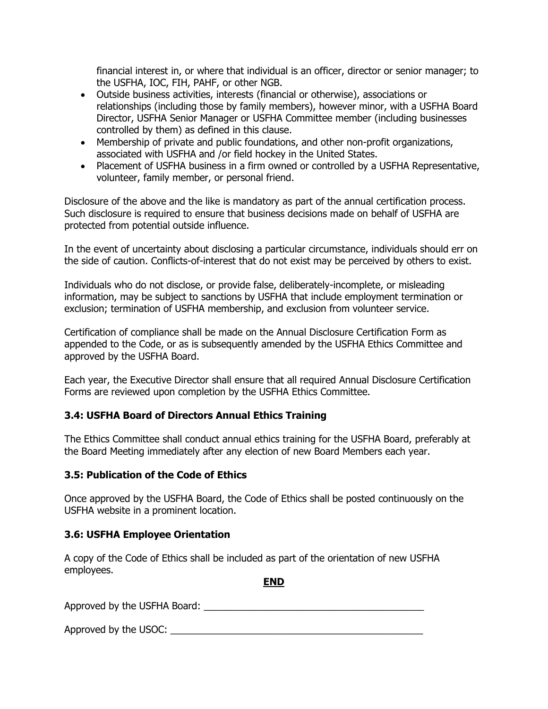financial interest in, or where that individual is an officer, director or senior manager; to the USFHA, IOC, FIH, PAHF, or other NGB.

- Outside business activities, interests (financial or otherwise), associations or relationships (including those by family members), however minor, with a USFHA Board Director, USFHA Senior Manager or USFHA Committee member (including businesses controlled by them) as defined in this clause.
- Membership of private and public foundations, and other non-profit organizations, associated with USFHA and /or field hockey in the United States.
- Placement of USFHA business in a firm owned or controlled by a USFHA Representative, volunteer, family member, or personal friend.

Disclosure of the above and the like is mandatory as part of the annual certification process. Such disclosure is required to ensure that business decisions made on behalf of USFHA are protected from potential outside influence.

In the event of uncertainty about disclosing a particular circumstance, individuals should err on the side of caution. Conflicts-of-interest that do not exist may be perceived by others to exist.

Individuals who do not disclose, or provide false, deliberately-incomplete, or misleading information, may be subject to sanctions by USFHA that include employment termination or exclusion; termination of USFHA membership, and exclusion from volunteer service.

Certification of compliance shall be made on the Annual Disclosure Certification Form as appended to the Code, or as is subsequently amended by the USFHA Ethics Committee and approved by the USFHA Board.

Each year, the Executive Director shall ensure that all required Annual Disclosure Certification Forms are reviewed upon completion by the USFHA Ethics Committee.

### **3.4: USFHA Board of Directors Annual Ethics Training**

The Ethics Committee shall conduct annual ethics training for the USFHA Board, preferably at the Board Meeting immediately after any election of new Board Members each year.

#### **3.5: Publication of the Code of Ethics**

Once approved by the USFHA Board, the Code of Ethics shall be posted continuously on the USFHA website in a prominent location.

#### **3.6: USFHA Employee Orientation**

A copy of the Code of Ethics shall be included as part of the orientation of new USFHA employees.

**END**

Approved by the USFHA Board:  $\blacksquare$ 

Approved by the USOC: \_\_\_\_\_\_\_\_\_\_\_\_\_\_\_\_\_\_\_\_\_\_\_\_\_\_\_\_\_\_\_\_\_\_\_\_\_\_\_\_\_\_\_\_\_\_\_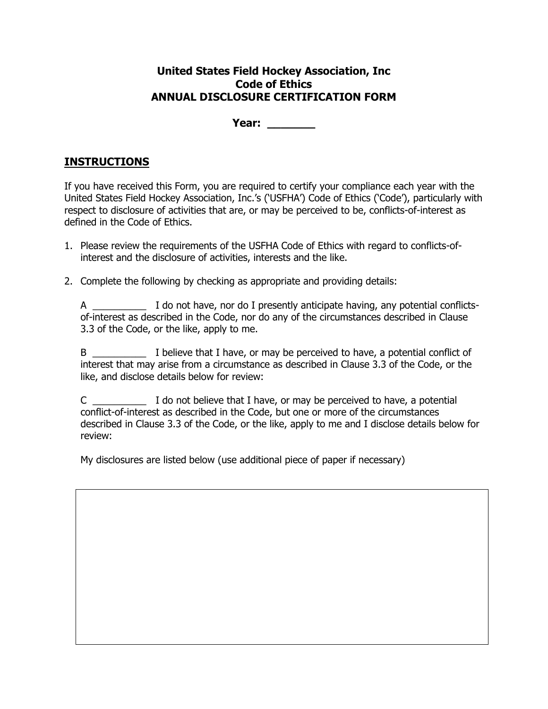### **United States Field Hockey Association, Inc Code of Ethics ANNUAL DISCLOSURE CERTIFICATION FORM**

**Year: \_\_\_\_\_\_\_**

# **INSTRUCTIONS**

If you have received this Form, you are required to certify your compliance each year with the United States Field Hockey Association, Inc.'s ('USFHA') Code of Ethics ('Code'), particularly with respect to disclosure of activities that are, or may be perceived to be, conflicts-of-interest as defined in the Code of Ethics.

- 1. Please review the requirements of the USFHA Code of Ethics with regard to conflicts-ofinterest and the disclosure of activities, interests and the like.
- 2. Complete the following by checking as appropriate and providing details:

A \_\_\_\_\_\_\_\_\_\_\_\_\_\_\_ I do not have, nor do I presently anticipate having, any potential conflictsof-interest as described in the Code, nor do any of the circumstances described in Clause 3.3 of the Code, or the like, apply to me.

B \_\_\_\_\_\_\_\_\_\_\_\_\_\_ I believe that I have, or may be perceived to have, a potential conflict of interest that may arise from a circumstance as described in Clause 3.3 of the Code, or the like, and disclose details below for review:

C \_\_\_\_\_\_\_\_\_\_ I do not believe that I have, or may be perceived to have, a potential conflict-of-interest as described in the Code, but one or more of the circumstances described in Clause 3.3 of the Code, or the like, apply to me and I disclose details below for review:

My disclosures are listed below (use additional piece of paper if necessary)